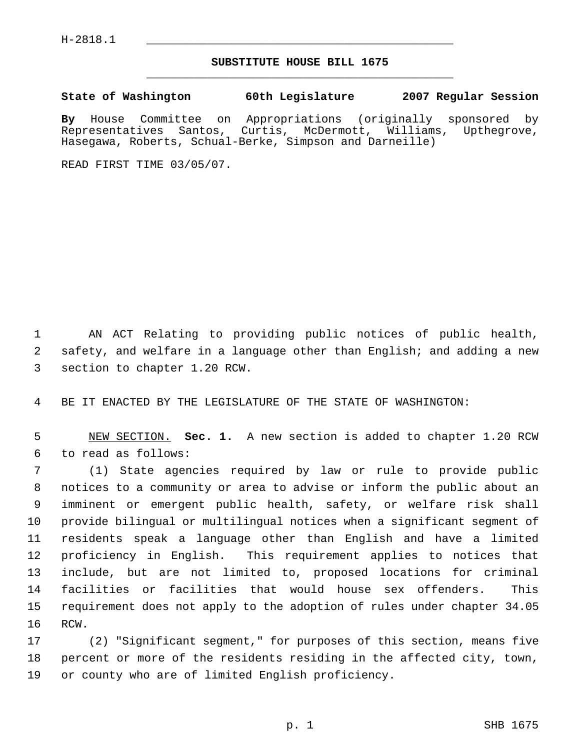## **SUBSTITUTE HOUSE BILL 1675** \_\_\_\_\_\_\_\_\_\_\_\_\_\_\_\_\_\_\_\_\_\_\_\_\_\_\_\_\_\_\_\_\_\_\_\_\_\_\_\_\_\_\_\_\_

**State of Washington 60th Legislature 2007 Regular Session**

**By** House Committee on Appropriations (originally sponsored by Representatives Santos, Curtis, McDermott, Williams, Upthegrove, Hasegawa, Roberts, Schual-Berke, Simpson and Darneille)

READ FIRST TIME 03/05/07.

 AN ACT Relating to providing public notices of public health, safety, and welfare in a language other than English; and adding a new section to chapter 1.20 RCW.

BE IT ENACTED BY THE LEGISLATURE OF THE STATE OF WASHINGTON:

 NEW SECTION. **Sec. 1.** A new section is added to chapter 1.20 RCW to read as follows:

 (1) State agencies required by law or rule to provide public notices to a community or area to advise or inform the public about an imminent or emergent public health, safety, or welfare risk shall provide bilingual or multilingual notices when a significant segment of residents speak a language other than English and have a limited proficiency in English. This requirement applies to notices that include, but are not limited to, proposed locations for criminal facilities or facilities that would house sex offenders. This requirement does not apply to the adoption of rules under chapter 34.05 RCW.

 (2) "Significant segment," for purposes of this section, means five percent or more of the residents residing in the affected city, town, or county who are of limited English proficiency.